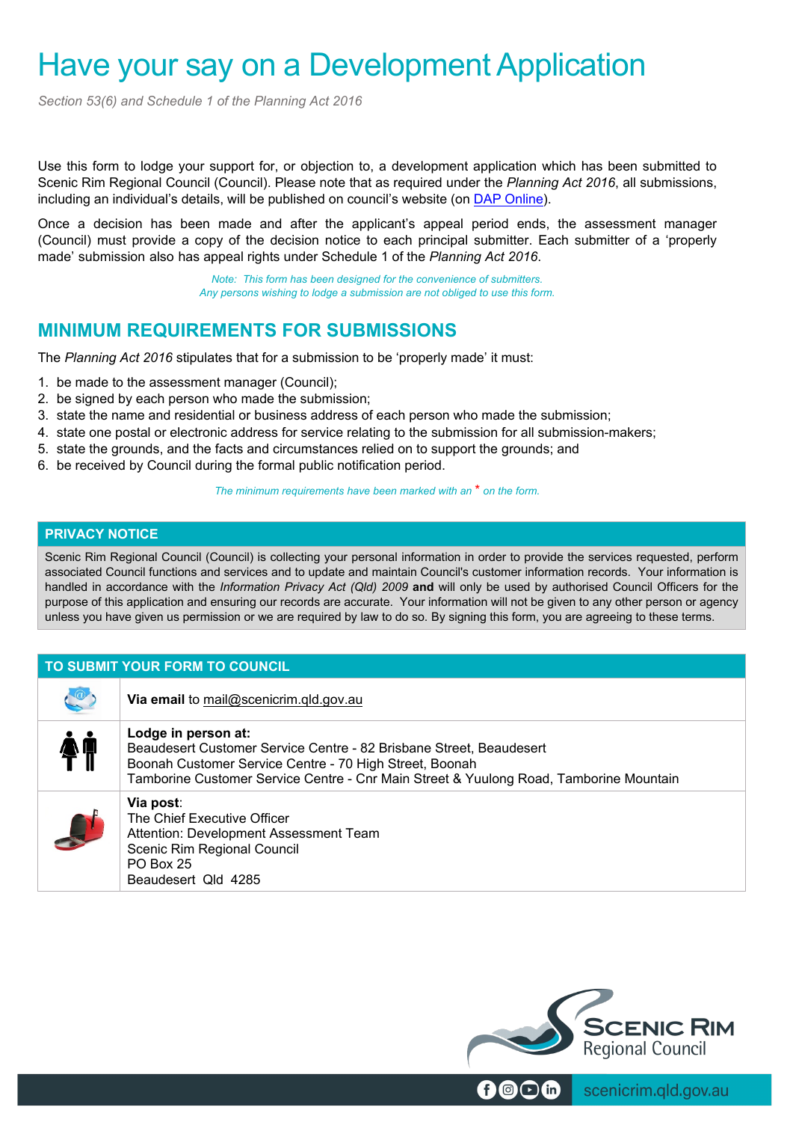# Have your say on a Development Application

*Section 53(6) and Schedule 1 of the Planning Act 2016*

Use this form to lodge your support for, or objection to, a development application which has been submitted to Scenic Rim Regional Council (Council). Please note that as required under the *Planning Act 2016*, all submissions, including an individual's details, will be published on council's website (on DAP Online).

Once a decision has been made and after the applicant's appeal period ends, the assessment manager (Council) must provide a copy of the decision notice to each principal submitter. Each submitter of a 'properly made' submission also has appeal rights under Schedule 1 of the *Planning Act 2016*.

> *Note: This form has been designed for the convenience of submitters. Any persons wishing to lodge a submission are not obliged to use this form.*

## **MINIMUM REQUIREMENTS FOR SUBMISSIONS**

The *Planning Act 2016* stipulates that for a submission to be 'properly made' it must:

- 1. be made to the assessment manager (Council);
- 2. be signed by each person who made the submission;
- 3. state the name and residential or business address of each person who made the submission;
- 4. state one postal or electronic address for service relating to the submission for all submission-makers;
- 5. state the grounds, and the facts and circumstances relied on to support the grounds; and
- 6. be received by Council during the formal public notification period.

*The minimum requirements have been marked with an* \* *on the form.*

## **PRIVACY NOTICE**

Scenic Rim Regional Council (Council) is collecting your personal information in order to provide the services requested, perform associated Council functions and services and to update and maintain Council's customer information records. Your information is handled in accordance with the *Information Privacy Act (Qld) 2009* **and** will only be used by authorised Council Officers for the purpose of this application and ensuring our records are accurate. Your information will not be given to any other person or agency unless you have given us permission or we are required by law to do so. By signing this form, you are agreeing to these terms.

## **TO SUBMIT YOUR FORM TO COUNCIL**

|    | Via email to mail@scenicrim.qld.gov.au                                                                                                                                                                                                          |
|----|-------------------------------------------------------------------------------------------------------------------------------------------------------------------------------------------------------------------------------------------------|
| ŊŬ | Lodge in person at:<br>Beaudesert Customer Service Centre - 82 Brisbane Street, Beaudesert<br>Boonah Customer Service Centre - 70 High Street, Boonah<br>Tamborine Customer Service Centre - Cnr Main Street & Yuulong Road, Tamborine Mountain |
|    | Via post:<br>The Chief Executive Officer<br>Attention: Development Assessment Team<br>Scenic Rim Regional Council<br>PO Box 25<br>Beaudesert Qld 4285                                                                                           |



scenicrim.qld.gov.au  $\bigcirc$   $\bigcirc$  fn